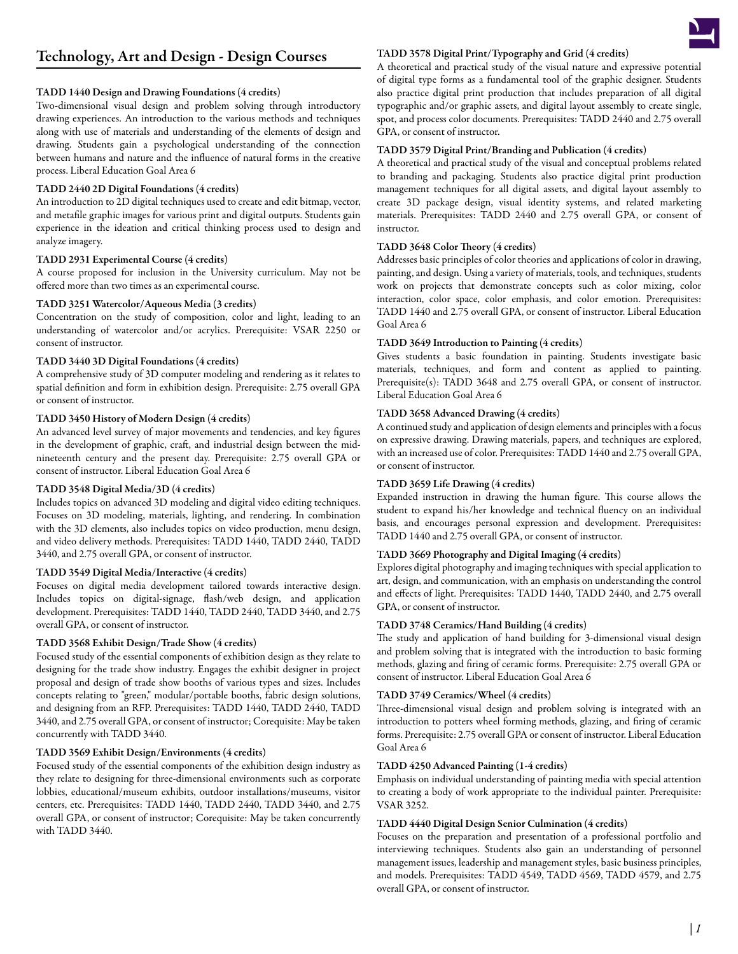# TADD 1440 Design and Drawing Foundations (4 credits)

Two-dimensional visual design and problem solving through introductory drawing experiences. An introduction to the various methods and techniques along with use of materials and understanding of the elements of design and drawing. Students gain a psychological understanding of the connection between humans and nature and the influence of natural forms in the creative process. Liberal Education Goal Area 6

# TADD 2440 2D Digital Foundations (4 credits)

An introduction to 2D digital techniques used to create and edit bitmap, vector, and metafile graphic images for various print and digital outputs. Students gain experience in the ideation and critical thinking process used to design and analyze imagery.

# TADD 2931 Experimental Course (4 credits)

A course proposed for inclusion in the University curriculum. May not be offered more than two times as an experimental course.

# TADD 3251 Watercolor/Aqueous Media (3 credits)

Concentration on the study of composition, color and light, leading to an understanding of watercolor and/or acrylics. Prerequisite: VSAR 2250 or consent of instructor.

# TADD 3440 3D Digital Foundations (4 credits)

A comprehensive study of 3D computer modeling and rendering as it relates to spatial definition and form in exhibition design. Prerequisite: 2.75 overall GPA or consent of instructor.

# TADD 3450 History of Modern Design (4 credits)

An advanced level survey of major movements and tendencies, and key figures in the development of graphic, craft, and industrial design between the midnineteenth century and the present day. Prerequisite: 2.75 overall GPA or consent of instructor. Liberal Education Goal Area 6

# TADD 3548 Digital Media/3D (4 credits)

Includes topics on advanced 3D modeling and digital video editing techniques. Focuses on 3D modeling, materials, lighting, and rendering. In combination with the 3D elements, also includes topics on video production, menu design, and video delivery methods. Prerequisites: TADD 1440, TADD 2440, TADD 3440, and 2.75 overall GPA, or consent of instructor.

#### TADD 3549 Digital Media/Interactive (4 credits)

Focuses on digital media development tailored towards interactive design. Includes topics on digital-signage, flash/web design, and application development. Prerequisites: TADD 1440, TADD 2440, TADD 3440, and 2.75 overall GPA, or consent of instructor.

### TADD 3568 Exhibit Design/Trade Show (4 credits)

Focused study of the essential components of exhibition design as they relate to designing for the trade show industry. Engages the exhibit designer in project proposal and design of trade show booths of various types and sizes. Includes concepts relating to "green," modular/portable booths, fabric design solutions, and designing from an RFP. Prerequisites: TADD 1440, TADD 2440, TADD 3440, and 2.75 overall GPA, or consent of instructor; Corequisite: May be taken concurrently with TADD 3440.

# TADD 3569 Exhibit Design/Environments (4 credits)

Focused study of the essential components of the exhibition design industry as they relate to designing for three-dimensional environments such as corporate lobbies, educational/museum exhibits, outdoor installations/museums, visitor centers, etc. Prerequisites: TADD 1440, TADD 2440, TADD 3440, and 2.75 overall GPA, or consent of instructor; Corequisite: May be taken concurrently with TADD 3440.

# TADD 3578 Digital Print/Typography and Grid (4 credits)

A theoretical and practical study of the visual nature and expressive potential of digital type forms as a fundamental tool of the graphic designer. Students also practice digital print production that includes preparation of all digital typographic and/or graphic assets, and digital layout assembly to create single, spot, and process color documents. Prerequisites: TADD 2440 and 2.75 overall GPA, or consent of instructor.

#### TADD 3579 Digital Print/Branding and Publication (4 credits)

A theoretical and practical study of the visual and conceptual problems related to branding and packaging. Students also practice digital print production management techniques for all digital assets, and digital layout assembly to create 3D package design, visual identity systems, and related marketing materials. Prerequisites: TADD 2440 and 2.75 overall GPA, or consent of instructor.

#### TADD 3648 Color Theory (4 credits)

Addresses basic principles of color theories and applications of color in drawing, painting, and design. Using a variety of materials, tools, and techniques, students work on projects that demonstrate concepts such as color mixing, color interaction, color space, color emphasis, and color emotion. Prerequisites: TADD 1440 and 2.75 overall GPA, or consent of instructor. Liberal Education Goal Area 6

# TADD 3649 Introduction to Painting (4 credits)

Gives students a basic foundation in painting. Students investigate basic materials, techniques, and form and content as applied to painting. Prerequisite(s): TADD 3648 and 2.75 overall GPA, or consent of instructor. Liberal Education Goal Area 6

# TADD 3658 Advanced Drawing (4 credits)

A continued study and application of design elements and principles with a focus on expressive drawing. Drawing materials, papers, and techniques are explored, with an increased use of color. Prerequisites: TADD 1440 and 2.75 overall GPA, or consent of instructor.

# TADD 3659 Life Drawing (4 credits)

Expanded instruction in drawing the human figure. This course allows the student to expand his/her knowledge and technical fluency on an individual basis, and encourages personal expression and development. Prerequisites: TADD 1440 and 2.75 overall GPA, or consent of instructor.

# TADD 3669 Photography and Digital Imaging (4 credits)

Explores digital photography and imaging techniques with special application to art, design, and communication, with an emphasis on understanding the control and effects of light. Prerequisites: TADD 1440, TADD 2440, and 2.75 overall GPA, or consent of instructor.

#### TADD 3748 Ceramics/Hand Building (4 credits)

The study and application of hand building for 3-dimensional visual design and problem solving that is integrated with the introduction to basic forming methods, glazing and firing of ceramic forms. Prerequisite: 2.75 overall GPA or consent of instructor. Liberal Education Goal Area 6

# TADD 3749 Ceramics/Wheel (4 credits)

Three-dimensional visual design and problem solving is integrated with an introduction to potters wheel forming methods, glazing, and firing of ceramic forms. Prerequisite: 2.75 overall GPA or consent of instructor. Liberal Education Goal Area 6

# TADD 4250 Advanced Painting (1-4 credits)

Emphasis on individual understanding of painting media with special attention to creating a body of work appropriate to the individual painter. Prerequisite: VSAR 3252.

#### TADD 4440 Digital Design Senior Culmination (4 credits)

Focuses on the preparation and presentation of a professional portfolio and interviewing techniques. Students also gain an understanding of personnel management issues, leadership and management styles, basic business principles, and models. Prerequisites: TADD 4549, TADD 4569, TADD 4579, and 2.75 overall GPA, or consent of instructor.